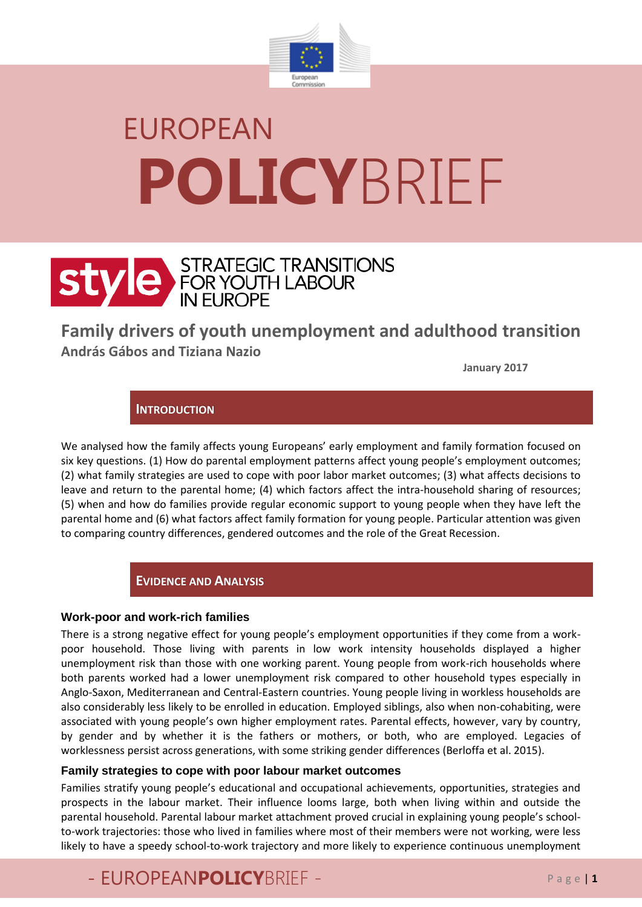

# EUROPEAN **POLICY**BRIEF



**Family drivers of youth unemployment and adulthood transition András Gábos and Tiziana Nazio**

**January 2017**

**INTRODUCTION**

We analysed how the family affects young Europeans' early employment and family formation focused on six key questions. (1) How do parental employment patterns affect young people's employment outcomes; (2) what family strategies are used to cope with poor labor market outcomes; (3) what affects decisions to leave and return to the parental home; (4) which factors affect the intra-household sharing of resources; (5) when and how do families provide regular economic support to young people when they have left the parental home and (6) what factors affect family formation for young people. Particular attention was given to comparing country differences, gendered outcomes and the role of the Great Recession.

**EVIDENCE AND ANALYSIS** 

#### **Work-poor and work-rich families**

There is a strong negative effect for young people's employment opportunities if they come from a workpoor household. Those living with parents in low work intensity households displayed a higher unemployment risk than those with one working parent. Young people from work-rich households where both parents worked had a lower unemployment risk compared to other household types especially in Anglo-Saxon, Mediterranean and Central-Eastern countries. Young people living in workless households are also considerably less likely to be enrolled in education. Employed siblings, also when non-cohabiting, were associated with young people's own higher employment rates. Parental effects, however, vary by country, by gender and by whether it is the fathers or mothers, or both, who are employed. Legacies of worklessness persist across generations, with some striking gender differences (Berloffa et al. 2015).

#### **Family strategies to cope with poor labour market outcomes**

Families stratify young people's educational and occupational achievements, opportunities, strategies and prospects in the labour market. Their influence looms large, both when living within and outside the parental household. Parental labour market attachment proved crucial in explaining young people's schoolto-work trajectories: those who lived in families where most of their members were not working, were less likely to have a speedy school-to-work trajectory and more likely to experience continuous unemployment

## - EUROPEANPOLICYBRIFF - Page | 1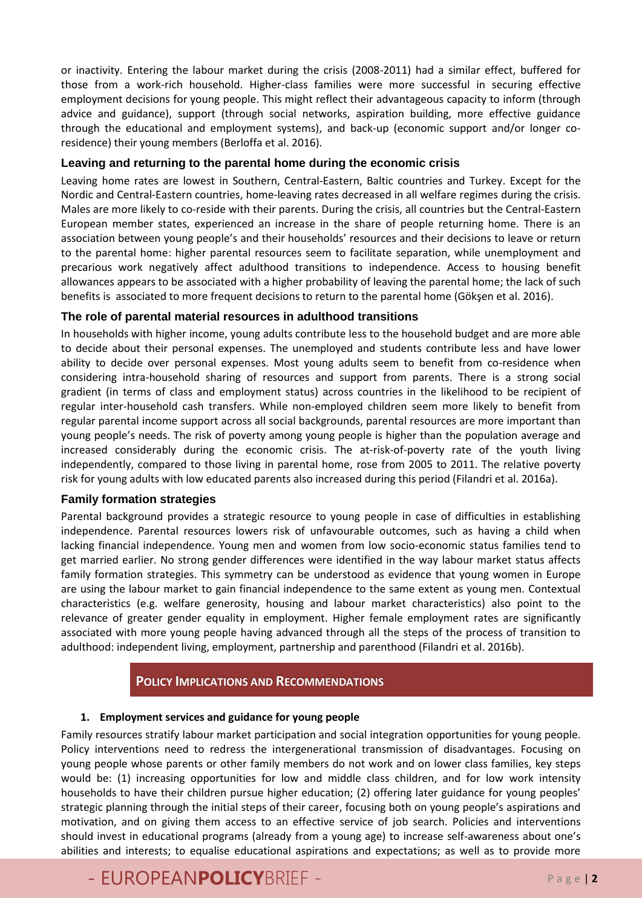or inactivity. Entering the labour market during the crisis (2008-2011) had a similar effect, buffered for those from a work-rich household. Higher-class families were more successful in securing effective employment decisions for young people. This might reflect their advantageous capacity to inform (through advice and guidance), support (through social networks, aspiration building, more effective guidance through the educational and employment systems), and back-up (economic support and/or longer coresidence) their young members (Berloffa et al. 2016).

#### **Leaving and returning to the parental home during the economic crisis**

Leaving home rates are lowest in Southern, Central-Eastern, Baltic countries and Turkey. Except for the Nordic and Central-Eastern countries, home-leaving rates decreased in all welfare regimes during the crisis. Males are more likely to co-reside with their parents. During the crisis, all countries but the Central-Eastern European member states, experienced an increase in the share of people returning home. There is an association between young people's and their households' resources and their decisions to leave or return to the parental home: higher parental resources seem to facilitate separation, while unemployment and precarious work negatively affect adulthood transitions to independence. Access to housing benefit allowances appears to be associated with a higher probability of leaving the parental home; the lack of such benefits is associated to more frequent decisions to return to the parental home (Gökşen et al. 2016).

#### **The role of parental material resources in adulthood transitions**

In households with higher income, young adults contribute less to the household budget and are more able to decide about their personal expenses. The unemployed and students contribute less and have lower ability to decide over personal expenses. Most young adults seem to benefit from co-residence when considering intra-household sharing of resources and support from parents. There is a strong social gradient (in terms of class and employment status) across countries in the likelihood to be recipient of regular inter-household cash transfers. While non-employed children seem more likely to benefit from regular parental income support across all social backgrounds, parental resources are more important than young people's needs. The risk of poverty among young people is higher than the population average and increased considerably during the economic crisis. The at-risk-of-poverty rate of the youth living independently, compared to those living in parental home, rose from 2005 to 2011. The relative poverty risk for young adults with low educated parents also increased during this period (Filandri et al. 2016a).

#### **Family formation strategies**

Parental background provides a strategic resource to young people in case of difficulties in establishing independence. Parental resources lowers risk of unfavourable outcomes, such as having a child when lacking financial independence. Young men and women from low socio-economic status families tend to get married earlier. No strong gender differences were identified in the way labour market status affects family formation strategies. This symmetry can be understood as evidence that young women in Europe are using the labour market to gain financial independence to the same extent as young men. Contextual characteristics (e.g. welfare generosity, housing and labour market characteristics) also point to the relevance of greater gender equality in employment. Higher female employment rates are significantly associated with more young people having advanced through all the steps of the process of transition to adulthood: independent living, employment, partnership and parenthood (Filandri et al. 2016b).

### **POLICY IMPLICATIONS AND RECOMMENDATIONS**

#### **1. Employment services and guidance for young people**

Family resources stratify labour market participation and social integration opportunities for young people. Policy interventions need to redress the intergenerational transmission of disadvantages. Focusing on young people whose parents or other family members do not work and on lower class families, key steps would be: (1) increasing opportunities for low and middle class children, and for low work intensity households to have their children pursue higher education; (2) offering later guidance for young peoples' strategic planning through the initial steps of their career, focusing both on young people's aspirations and motivation, and on giving them access to an effective service of job search. Policies and interventions should invest in educational programs (already from a young age) to increase self-awareness about one's abilities and interests; to equalise educational aspirations and expectations; as well as to provide more

## - EUROPEANPOLICYBRIFF - Page |2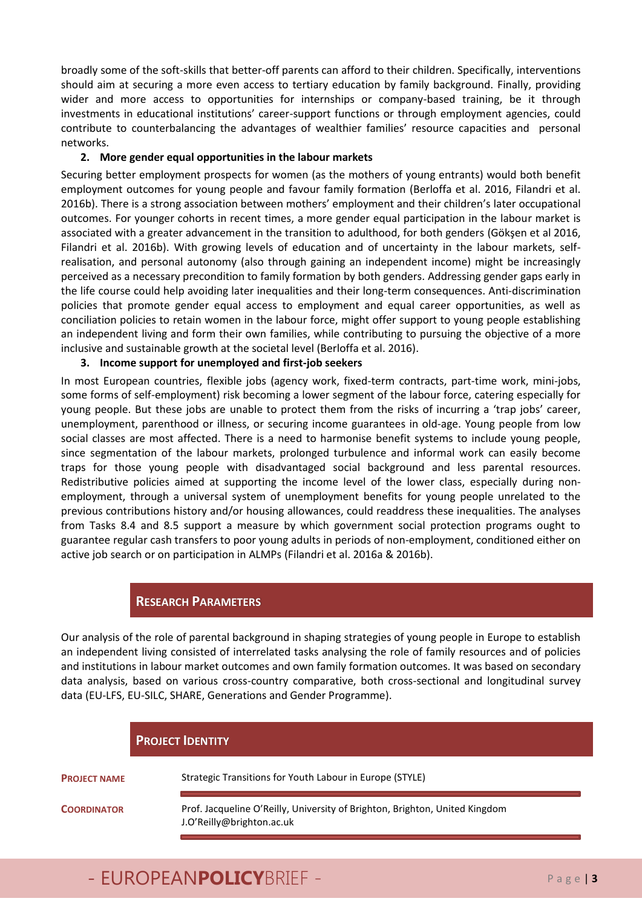broadly some of the soft-skills that better-off parents can afford to their children. Specifically, interventions should aim at securing a more even access to tertiary education by family background. Finally, providing wider and more access to opportunities for internships or company-based training, be it through investments in educational institutions' career-support functions or through employment agencies, could contribute to counterbalancing the advantages of wealthier families' resource capacities and personal networks.

#### **2. More gender equal opportunities in the labour markets**

Securing better employment prospects for women (as the mothers of young entrants) would both benefit employment outcomes for young people and favour family formation (Berloffa et al. 2016, Filandri et al. 2016b). There is a strong association between mothers' employment and their children's later occupational outcomes. For younger cohorts in recent times, a more gender equal participation in the labour market is associated with a greater advancement in the transition to adulthood, for both genders (Gökşen et al 2016, Filandri et al. 2016b). With growing levels of education and of uncertainty in the labour markets, selfrealisation, and personal autonomy (also through gaining an independent income) might be increasingly perceived as a necessary precondition to family formation by both genders. Addressing gender gaps early in the life course could help avoiding later inequalities and their long-term consequences. Anti-discrimination policies that promote gender equal access to employment and equal career opportunities, as well as conciliation policies to retain women in the labour force, might offer support to young people establishing an independent living and form their own families, while contributing to pursuing the objective of a more inclusive and sustainable growth at the societal level (Berloffa et al. 2016).

#### **3. Income support for unemployed and first-job seekers**

In most European countries, flexible jobs (agency work, fixed-term contracts, part-time work, mini-jobs, some forms of self-employment) risk becoming a lower segment of the labour force, catering especially for young people. But these jobs are unable to protect them from the risks of incurring a 'trap jobs' career, unemployment, parenthood or illness, or securing income guarantees in old-age. Young people from low social classes are most affected. There is a need to harmonise benefit systems to include young people, since segmentation of the labour markets, prolonged turbulence and informal work can easily become traps for those young people with disadvantaged social background and less parental resources. Redistributive policies aimed at supporting the income level of the lower class, especially during nonemployment, through a universal system of unemployment benefits for young people unrelated to the previous contributions history and/or housing allowances, could readdress these inequalities. The analyses from Tasks 8.4 and 8.5 support a measure by which government social protection programs ought to guarantee regular cash transfers to poor young adults in periods of non-employment, conditioned either on active job search or on participation in ALMPs (Filandri et al. 2016a & 2016b).

#### **RESEARCH PARAMETERS**

Our analysis of the role of parental background in shaping strategies of young people in Europe to establish an independent living consisted of interrelated tasks analysing the role of family resources and of policies and institutions in labour market outcomes and own family formation outcomes. It was based on secondary data analysis, based on various cross-country comparative, both cross-sectional and longitudinal survey data (EU-LFS, EU-SILC, SHARE, Generations and Gender Programme).

|                     | <b>PROJECT IDENTITY</b>                                                                                  |
|---------------------|----------------------------------------------------------------------------------------------------------|
| <b>PROJECT NAME</b> | Strategic Transitions for Youth Labour in Europe (STYLE)                                                 |
| <b>COORDINATOR</b>  | Prof. Jacqueline O'Reilly, University of Brighton, Brighton, United Kingdom<br>J.O'Reilly@brighton.ac.uk |

## - EUROPEANPOLICYBRIEF - Page | 3